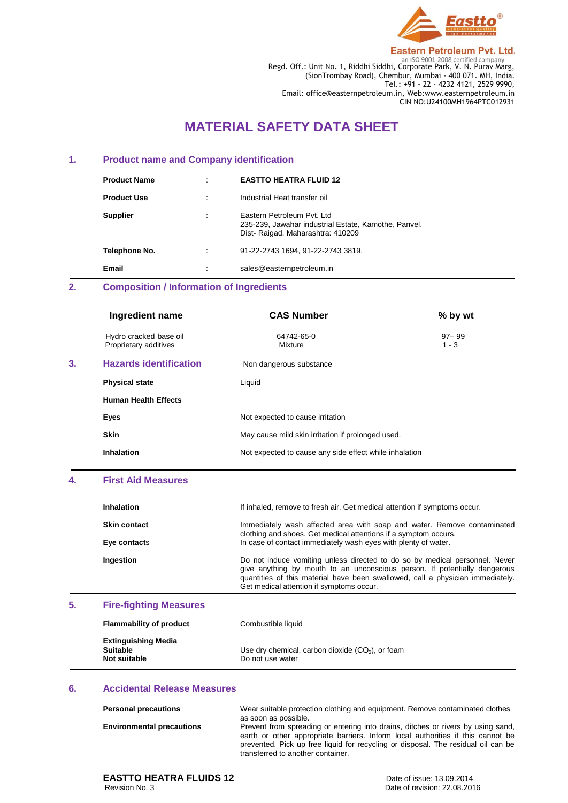

Regd. Off.: Unit No. 1, Riddhi Siddhi, Corporate Park, V. N. Purav Marg, (SionTrombay Road), Chembur, Mumbai - 400 071. MH, India. Tel.: +91 - 22 - 4232 4121, 2529 9990, Email: office@easternpetroleum.in, Web:www.easternpetroleum.in CIN NO:U24100MH1964PTC012931

# **MATERIAL SAFETY DATA SHEET**

#### **1. Product name and Company identification**

| <b>Product Name</b> | ٠                                   | <b>EASTTO HEATRA FLUID 12</b>                                                                                           |
|---------------------|-------------------------------------|-------------------------------------------------------------------------------------------------------------------------|
| <b>Product Use</b>  | ٠                                   | Industrial Heat transfer oil                                                                                            |
| <b>Supplier</b>     | $\cdot$<br>$\overline{\phantom{a}}$ | Eastern Petroleum Pyt. Ltd.<br>235-239, Jawahar industrial Estate, Kamothe, Panvel,<br>Dist-Raigad, Maharashtra: 410209 |
| Telephone No.       | $\bullet$                           | 91-22-2743 1694, 91-22-2743 3819.                                                                                       |
| Email               | $\cdot$<br>$\cdot$                  | sales@easternpetroleum.in                                                                                               |

## **2. Composition / Information of Ingredients**

|    | Ingredient name                                 | <b>CAS Number</b>                                      | % by wt              |
|----|-------------------------------------------------|--------------------------------------------------------|----------------------|
|    | Hydro cracked base oil<br>Proprietary additives | 64742-65-0<br>Mixture                                  | $97 - 99$<br>$1 - 3$ |
| 3. | <b>Hazards identification</b>                   | Non dangerous substance                                |                      |
|    | <b>Physical state</b>                           | Liquid                                                 |                      |
|    | <b>Human Health Effects</b>                     |                                                        |                      |
|    | Eyes                                            | Not expected to cause irritation                       |                      |
|    | <b>Skin</b>                                     | May cause mild skin irritation if prolonged used.      |                      |
|    | <b>Inhalation</b>                               | Not expected to cause any side effect while inhalation |                      |

#### **4. First Aid Measures**

| <b>Inhalation</b>   | If inhaled, remove to fresh air. Get medical attention if symptoms occur.                                                                                                                                                                                                              |
|---------------------|----------------------------------------------------------------------------------------------------------------------------------------------------------------------------------------------------------------------------------------------------------------------------------------|
| <b>Skin contact</b> | Immediately wash affected area with soap and water. Remove contaminated<br>clothing and shoes. Get medical attentions if a symptom occurs.                                                                                                                                             |
| Eye contacts        | In case of contact immediately wash eyes with plenty of water.                                                                                                                                                                                                                         |
| Ingestion           | Do not induce vomiting unless directed to do so by medical personnel. Never<br>give anything by mouth to an unconscious person. If potentially dangerous<br>quantities of this material have been swallowed, call a physician immediately.<br>Get medical attention if symptoms occur. |

## **5. Fire-fighting Measures**

| <b>Flammability of product</b>                                | Combustible liquid                                                     |
|---------------------------------------------------------------|------------------------------------------------------------------------|
| <b>Extinguishing Media</b><br><b>Suitable</b><br>Not suitable | Use dry chemical, carbon dioxide $(CO2)$ , or foam<br>Do not use water |

#### **6. Accidental Release Measures**

| <b>Personal precautions</b>      | Wear suitable protection clothing and equipment. Remove contaminated clothes<br>as soon as possible.                                                                                                                                                                                          |
|----------------------------------|-----------------------------------------------------------------------------------------------------------------------------------------------------------------------------------------------------------------------------------------------------------------------------------------------|
| <b>Environmental precautions</b> | Prevent from spreading or entering into drains, ditches or rivers by using sand,<br>earth or other appropriate barriers. Inform local authorities if this cannot be<br>prevented. Pick up free liquid for recycling or disposal. The residual oil can be<br>transferred to another container. |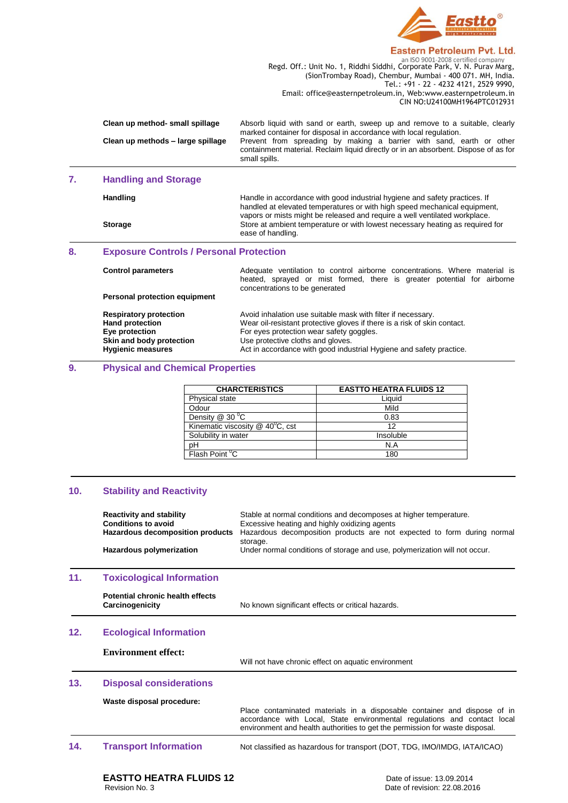

Regd. Off.: Unit No. 1, Riddhi Siddhi, Corporate Park, V. N. Purav Marg, (SionTrombay Road), Chembur, Mumbai - 400 071. MH, India. Tel.: +91 - 22 - 4232 4121, 2529 9990, Email: office@easternpetroleum.in, Web:www.easternpetroleum.in CIN NO:U24100MH1964PTC012931

| Clean up method- small spillage   | Absorb liquid with sand or earth, sweep up and remove to a suitable, clearly        |
|-----------------------------------|-------------------------------------------------------------------------------------|
|                                   | marked container for disposal in accordance with local regulation.                  |
| Clean up methods - large spillage | Prevent from spreading by making a barrier with sand, earth or other                |
|                                   | containment material. Reclaim liquid directly or in an absorbent. Dispose of as for |
|                                   | small spills.                                                                       |

## **7. Handling and Storage**

| <b>Handling</b> | Handle in accordance with good industrial hygiene and safety practices. If<br>handled at elevated temperatures or with high speed mechanical equipment,<br>vapors or mists might be released and require a well ventilated workplace. |
|-----------------|---------------------------------------------------------------------------------------------------------------------------------------------------------------------------------------------------------------------------------------|
| <b>Storage</b>  | Store at ambient temperature or with lowest necessary heating as required for<br>ease of handling.                                                                                                                                    |
|                 |                                                                                                                                                                                                                                       |

## **8. Exposure Controls / Personal Protection**

| <b>Control parameters</b>     | Adequate ventilation to control airborne concentrations. Where material is<br>heated, sprayed or mist formed, there is greater potential for airborne<br>concentrations to be generated |
|-------------------------------|-----------------------------------------------------------------------------------------------------------------------------------------------------------------------------------------|
| Personal protection equipment |                                                                                                                                                                                         |
| <b>Respiratory protection</b> | Avoid inhalation use suitable mask with filter if necessary.                                                                                                                            |
| <b>Hand protection</b>        | Wear oil-resistant protective gloves if there is a risk of skin contact.                                                                                                                |
| Eye protection                | For eyes protection wear safety goggles.                                                                                                                                                |
| Skin and body protection      | Use protective cloths and gloves.                                                                                                                                                       |
| <b>Hygienic measures</b>      | Act in accordance with good industrial Hygiene and safety practice.                                                                                                                     |

## **9. Physical and Chemical Properties**

| <b>CHARCTERISTICS</b>                          | <b>EASTTO HEATRA FLUIDS 12</b> |
|------------------------------------------------|--------------------------------|
| Physical state                                 | Liquid                         |
| Odour                                          | Mild                           |
| Density $@30^{\circ}$ C                        | 0.83                           |
| Kinematic viscosity $@$ 40 <sup>°</sup> C, cst | 12                             |
| Solubility in water                            | Insoluble                      |
| pH                                             | N.A                            |
| Flash Point <sup>o</sup> C                     | 180                            |

#### **10. Stability and Reactivity**

|     | <b>Reactivity and stability</b><br><b>Conditions to avoid</b><br><b>Hazardous decomposition products</b><br>Hazardous polymerization | Stable at normal conditions and decomposes at higher temperature.<br>Excessive heating and highly oxidizing agents<br>Hazardous decomposition products are not expected to form during normal<br>storage.<br>Under normal conditions of storage and use, polymerization will not occur. |
|-----|--------------------------------------------------------------------------------------------------------------------------------------|-----------------------------------------------------------------------------------------------------------------------------------------------------------------------------------------------------------------------------------------------------------------------------------------|
| 11. | <b>Toxicological Information</b>                                                                                                     |                                                                                                                                                                                                                                                                                         |
|     | Potential chronic health effects<br>Carcinogenicity                                                                                  | No known significant effects or critical hazards.                                                                                                                                                                                                                                       |
| 12. | <b>Ecological Information</b>                                                                                                        |                                                                                                                                                                                                                                                                                         |
|     | <b>Environment effect:</b>                                                                                                           | Will not have chronic effect on aquatic environment                                                                                                                                                                                                                                     |
| 13. | <b>Disposal considerations</b>                                                                                                       |                                                                                                                                                                                                                                                                                         |
|     | Waste disposal procedure:                                                                                                            | Place contaminated materials in a disposable container and dispose of in<br>accordance with Local, State environmental regulations and contact local<br>environment and health authorities to get the permission for waste disposal.                                                    |
| 14. | <b>Transport Information</b>                                                                                                         | Not classified as hazardous for transport (DOT, TDG, IMO/IMDG, IATA/ICAO)                                                                                                                                                                                                               |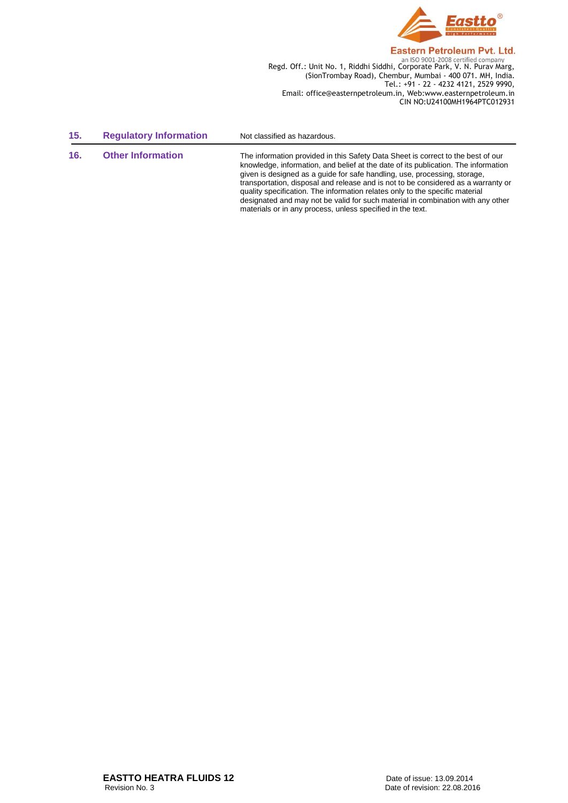

**Regd. Off.: Unit No. 1, Riddhi Siddhi, Corporate Park, V. N. Purav Marg,**<br>Regd. Off.: Unit No. 1, Riddhi Siddhi, Corporate Park, V. N. Purav Marg, (SionTrombay Road), Chembur, Mumbai - 400 071. MH, India. Tel.: +91 - 22 - 4232 4121, 2529 9990, Email: office@easternpetroleum.in, Web:www.easternpetroleum.in CIN NO:U24100MH1964PTC012931

designated and may not be valid for such material in combination with any other

materials or in any process, unless specified in the text.

| 15. | <b>Regulatory Information</b> | Not classified as hazardous.                                                                                                                                                                                                                                                                                                                                                                                             |
|-----|-------------------------------|--------------------------------------------------------------------------------------------------------------------------------------------------------------------------------------------------------------------------------------------------------------------------------------------------------------------------------------------------------------------------------------------------------------------------|
| 16. | <b>Other Information</b>      | The information provided in this Safety Data Sheet is correct to the best of our<br>knowledge, information, and belief at the date of its publication. The information<br>given is designed as a guide for safe handling, use, processing, storage,<br>transportation, disposal and release and is not to be considered as a warranty or<br>quality specification. The information relates only to the specific material |

**EASTTO HEATRA FLUIDS 12**<br>
Revision No. 3<br>
Date of revision: 22.08.20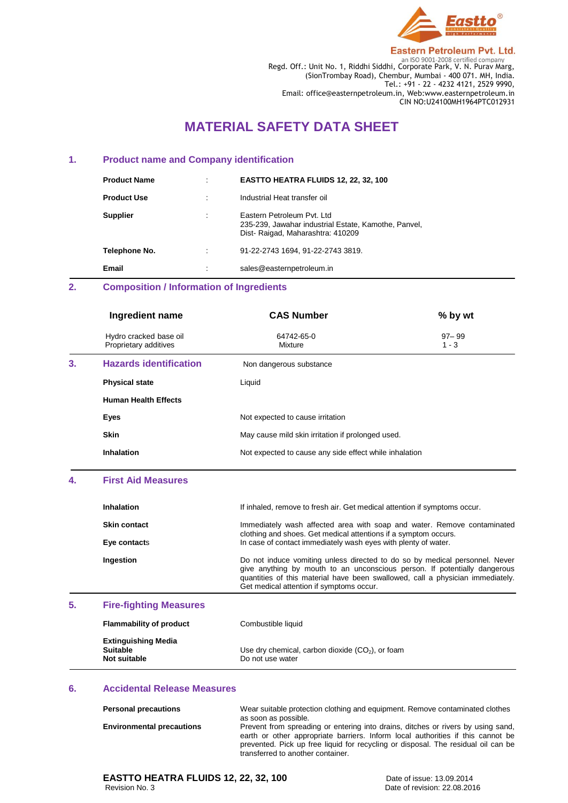

Regd. Off.: Unit No. 1, Riddhi Siddhi, Corporate Park, V. N. Purav Marg, (SionTrombay Road), Chembur, Mumbai - 400 071. MH, India. Tel.: +91 - 22 - 4232 4121, 2529 9990, Email: office@easternpetroleum.in, Web:www.easternpetroleum.in CIN NO:U24100MH1964PTC012931

## **MATERIAL SAFETY DATA SHEET**

#### **1. Product name and Company identification**

| <b>Product Name</b> | ٠         | EASTTO HEATRA FLUIDS 12, 22, 32, 100                                                                                    |
|---------------------|-----------|-------------------------------------------------------------------------------------------------------------------------|
| <b>Product Use</b>  | $\bullet$ | Industrial Heat transfer oil                                                                                            |
| <b>Supplier</b>     | ٠         | Eastern Petroleum Pyt. Ltd.<br>235-239, Jawahar industrial Estate, Kamothe, Panvel,<br>Dist-Raigad, Maharashtra: 410209 |
| Telephone No.       | ٠         | 91-22-2743 1694, 91-22-2743 3819.                                                                                       |
| Email               |           | sales@easternpetroleum.in                                                                                               |

### **2. Composition / Information of Ingredients**

|    | Ingredient name                                 | <b>CAS Number</b>                                      | % by wt              |  |
|----|-------------------------------------------------|--------------------------------------------------------|----------------------|--|
|    | Hydro cracked base oil<br>Proprietary additives | 64742-65-0<br>Mixture                                  | $97 - 99$<br>$1 - 3$ |  |
| 3. | <b>Hazards identification</b>                   | Non dangerous substance                                |                      |  |
|    | <b>Physical state</b>                           | Liquid                                                 |                      |  |
|    | <b>Human Health Effects</b>                     |                                                        |                      |  |
|    | Eyes                                            | Not expected to cause irritation                       |                      |  |
|    | <b>Skin</b>                                     | May cause mild skin irritation if prolonged used.      |                      |  |
|    | <b>Inhalation</b>                               | Not expected to cause any side effect while inhalation |                      |  |

#### **4. First Aid Measures**

| <b>Inhalation</b>   | If inhaled, remove to fresh air. Get medical attention if symptoms occur.                                                                                                                                                                                                              |
|---------------------|----------------------------------------------------------------------------------------------------------------------------------------------------------------------------------------------------------------------------------------------------------------------------------------|
| <b>Skin contact</b> | Immediately wash affected area with soap and water. Remove contaminated<br>clothing and shoes. Get medical attentions if a symptom occurs.                                                                                                                                             |
| Eye contacts        | In case of contact immediately wash eyes with plenty of water.                                                                                                                                                                                                                         |
| Ingestion           | Do not induce vomiting unless directed to do so by medical personnel. Never<br>give anything by mouth to an unconscious person. If potentially dangerous<br>quantities of this material have been swallowed, call a physician immediately.<br>Get medical attention if symptoms occur. |
|                     |                                                                                                                                                                                                                                                                                        |

## **5. Fire-fighting Measures**

| <b>Flammability of product</b>                                | Combustible liquid                                                     |
|---------------------------------------------------------------|------------------------------------------------------------------------|
| <b>Extinguishing Media</b><br><b>Suitable</b><br>Not suitable | Use dry chemical, carbon dioxide $(CO2)$ , or foam<br>Do not use water |

#### **6. Accidental Release Measures**

| <b>Personal precautions</b>      | Wear suitable protection clothing and equipment. Remove contaminated clothes<br>as soon as possible.                                                                                                                                                                                          |
|----------------------------------|-----------------------------------------------------------------------------------------------------------------------------------------------------------------------------------------------------------------------------------------------------------------------------------------------|
| <b>Environmental precautions</b> | Prevent from spreading or entering into drains, ditches or rivers by using sand,<br>earth or other appropriate barriers. Inform local authorities if this cannot be<br>prevented. Pick up free liquid for recycling or disposal. The residual oil can be<br>transferred to another container. |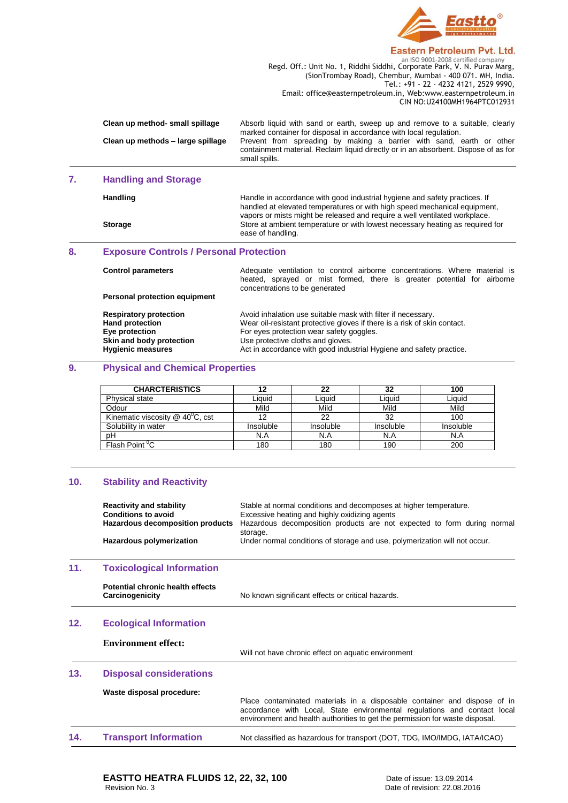

Regd. Off.: Unit No. 1, Riddhi Siddhi, Corporate Park, V. N. Purav Marg, (SionTrombay Road), Chembur, Mumbai - 400 071. MH, India. Tel.: +91 - 22 - 4232 4121, 2529 9990, Email: office@easternpetroleum.in, Web:www.easternpetroleum.in CIN NO:U24100MH1964PTC012931

| Clean up method- small spillage   | Absorb liquid with sand or earth, sweep up and remove to a suitable, clearly        |
|-----------------------------------|-------------------------------------------------------------------------------------|
|                                   | marked container for disposal in accordance with local regulation.                  |
| Clean up methods - large spillage | Prevent from spreading by making a barrier with sand, earth or other                |
|                                   | containment material. Reclaim liquid directly or in an absorbent. Dispose of as for |
|                                   | small spills.                                                                       |

## **7. Handling and Storage**

| Handling       | Handle in accordance with good industrial hygiene and safety practices. If<br>handled at elevated temperatures or with high speed mechanical equipment,<br>vapors or mists might be released and require a well ventilated workplace. |
|----------------|---------------------------------------------------------------------------------------------------------------------------------------------------------------------------------------------------------------------------------------|
| <b>Storage</b> | Store at ambient temperature or with lowest necessary heating as required for<br>ease of handling.                                                                                                                                    |

## **8. Exposure Controls / Personal Protection**

| <b>Control parameters</b>            | Adequate ventilation to control airborne concentrations. Where material is<br>heated, sprayed or mist formed, there is greater potential for airborne<br>concentrations to be generated |  |
|--------------------------------------|-----------------------------------------------------------------------------------------------------------------------------------------------------------------------------------------|--|
| <b>Personal protection equipment</b> |                                                                                                                                                                                         |  |
| <b>Respiratory protection</b>        | Avoid inhalation use suitable mask with filter if necessary.                                                                                                                            |  |
| <b>Hand protection</b>               | Wear oil-resistant protective gloves if there is a risk of skin contact.                                                                                                                |  |
| Eye protection                       | For eyes protection wear safety goggles.                                                                                                                                                |  |
| Skin and body protection             | Use protective cloths and gloves.                                                                                                                                                       |  |
| <b>Hygienic measures</b>             | Act in accordance with good industrial Hygiene and safety practice.                                                                                                                     |  |

## **9. Physical and Chemical Properties**

| <b>CHARCTERISTICS</b>                          |           | 22        | 32        | 100       |
|------------------------------------------------|-----------|-----------|-----------|-----------|
| <b>Physical state</b>                          | ∟iauid    | Liauid    | Liauid    | Liauid    |
| Odour                                          | Mild      | Mild      | Mild      | Mild      |
| Kinematic viscosity $@$ 40 <sup>°</sup> C, cst |           | 22        | 32        | 100       |
| Solubility in water                            | Insoluble | Insoluble | Insoluble | Insoluble |
| рH                                             | N.A       | N.A       | N.A       | N.A       |
| Flash Point <sup>°</sup> C                     | 180       | 180       | 190       | 200       |

#### **10. Stability and Reactivity**

|     | <b>Reactivity and stability</b><br><b>Conditions to avoid</b> | Stable at normal conditions and decomposes at higher temperature.<br>Excessive heating and highly oxidizing agents                                                                                                                   |
|-----|---------------------------------------------------------------|--------------------------------------------------------------------------------------------------------------------------------------------------------------------------------------------------------------------------------------|
|     | Hazardous decomposition products                              | Hazardous decomposition products are not expected to form during normal<br>storage.                                                                                                                                                  |
|     | Hazardous polymerization                                      | Under normal conditions of storage and use, polymerization will not occur.                                                                                                                                                           |
| 11. | <b>Toxicological Information</b>                              |                                                                                                                                                                                                                                      |
|     | Potential chronic health effects<br>Carcinogenicity           | No known significant effects or critical hazards.                                                                                                                                                                                    |
| 12. | <b>Ecological Information</b>                                 |                                                                                                                                                                                                                                      |
|     | <b>Environment effect:</b>                                    | Will not have chronic effect on aquatic environment                                                                                                                                                                                  |
| 13. | <b>Disposal considerations</b>                                |                                                                                                                                                                                                                                      |
|     | Waste disposal procedure:                                     | Place contaminated materials in a disposable container and dispose of in<br>accordance with Local, State environmental regulations and contact local<br>environment and health authorities to get the permission for waste disposal. |
| 14. | <b>Transport Information</b>                                  | Not classified as hazardous for transport (DOT, TDG, IMO/IMDG, IATA/ICAO)                                                                                                                                                            |